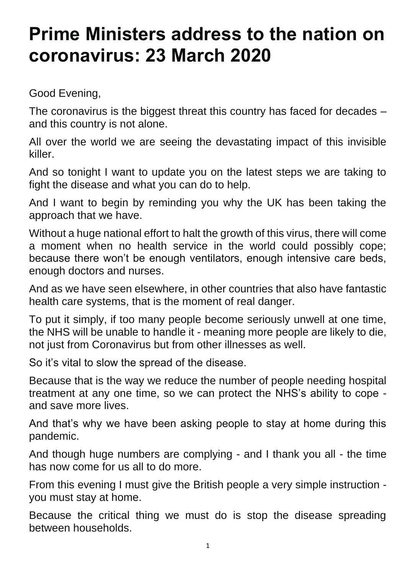## **Prime Ministers address to the nation on coronavirus: 23 March 2020**

Good Evening,

The coronavirus is the biggest threat this country has faced for decades – and this country is not alone.

All over the world we are seeing the devastating impact of this invisible killer.

And so tonight I want to update you on the latest steps we are taking to fight the disease and what you can do to help.

And I want to begin by reminding you why the UK has been taking the approach that we have.

Without a huge national effort to halt the growth of this virus, there will come a moment when no health service in the world could possibly cope; because there won't be enough ventilators, enough intensive care beds, enough doctors and nurses.

And as we have seen elsewhere, in other countries that also have fantastic health care systems, that is the moment of real danger.

To put it simply, if too many people become seriously unwell at one time, the NHS will be unable to handle it - meaning more people are likely to die, not just from Coronavirus but from other illnesses as well.

So it's vital to slow the spread of the disease.

Because that is the way we reduce the number of people needing hospital treatment at any one time, so we can protect the NHS's ability to cope and save more lives.

And that's why we have been asking people to stay at home during this pandemic.

And though huge numbers are complying - and I thank you all - the time has now come for us all to do more.

From this evening I must give the British people a very simple instruction you must stay at home.

Because the critical thing we must do is stop the disease spreading between households.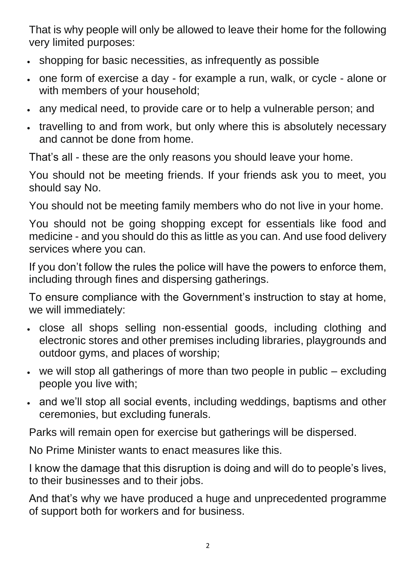That is why people will only be allowed to leave their home for the following very limited purposes:

- shopping for basic necessities, as infrequently as possible
- one form of exercise a day for example a run, walk, or cycle alone or with members of your household;
- any medical need, to provide care or to help a vulnerable person; and
- travelling to and from work, but only where this is absolutely necessary and cannot be done from home.

That's all - these are the only reasons you should leave your home.

You should not be meeting friends. If your friends ask you to meet, you should say No.

You should not be meeting family members who do not live in your home.

You should not be going shopping except for essentials like food and medicine - and you should do this as little as you can. And use food delivery services where you can.

If you don't follow the rules the police will have the powers to enforce them, including through fines and dispersing gatherings.

To ensure compliance with the Government's instruction to stay at home, we will immediately:

- close all shops selling non-essential goods, including clothing and electronic stores and other premises including libraries, playgrounds and outdoor gyms, and places of worship;
- we will stop all gatherings of more than two people in public excluding people you live with;
- and we'll stop all social events, including weddings, baptisms and other ceremonies, but excluding funerals.

Parks will remain open for exercise but gatherings will be dispersed.

No Prime Minister wants to enact measures like this.

I know the damage that this disruption is doing and will do to people's lives, to their businesses and to their jobs.

And that's why we have produced a huge and unprecedented programme of support both for workers and for business.